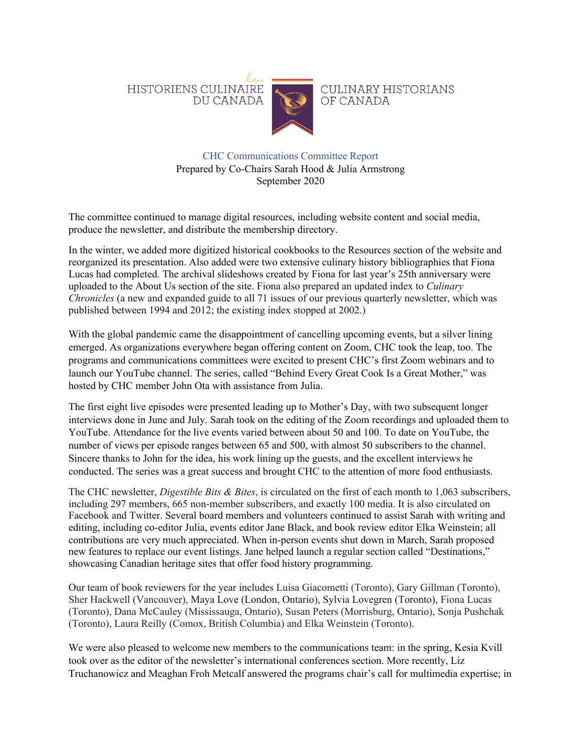

## CHC Communications Committee Report Prepared by Co-Chairs Sarah Hood & Julia Armstrong September 2020

The committee continued to manage digital resources, including website content and social media, produce the newsletter, and distribute the membership directory.

In the winter, we added more digitized historical cookbooks to the Resources section of the website and reorganized its presentation. Also added were two extensive culinary history bibliographies that Fiona Lucas had completed. The archival slideshows created by Fiona for last year's 25th anniversary were uploaded to the About Us section of the site. Fiona also prepared an updated index to *Culinary Chronicles* (a new and expanded guide to all 71 issues of our previous quarterly newsletter, which was published between 1994 and 2012; the existing index stopped at 2002.)

With the global pandemic came the disappointment of cancelling upcoming events, but a silver lining emerged. As organizations everywhere began offering content on Zoom, CHC took the leap, too. The programs and communications committees were excited to present CHC's first Zoom webinars and to launch our YouTube channel. The series, called "Behind Every Great Cook Is a Great Mother," was hosted by CHC member John Ota with assistance from Julia.

The first eight live episodes were presented leading up to Mother's Day, with two subsequent longer interviews done in June and July. Sarah took on the editing of the Zoom recordings and uploaded them to YouTube. Attendance for the live events varied between about 50 and 100. To date on YouTube, the number of views per episode ranges between 65 and 500, with almost 50 subscribers to the channel. Sincere thanks to John for the idea, his work lining up the guests, and the excellent interviews he conducted. The series was a great success and brought CHC to the attention of more food enthusiasts.

The CHC newsletter, *Digestible Bits & Bites*, is circulated on the first of each month to 1,063 subscribers, including 297 members, 665 non-member subscribers, and exactly 100 media. It is also circulated on Facebook and Twitter. Several board members and volunteers continued to assist Sarah with writing and editing, including co-editor Julia, events editor Jane Black, and book review editor Elka Weinstein; all contributions are very much appreciated. When in-person events shut down in March, Sarah proposed new features to replace our event listings. Jane helped launch a regular section called "Destinations," showcasing Canadian heritage sites that offer food history programming.

Our team of book reviewers for the year includes Luisa Giacometti (Toronto), Gary Gillman (Toronto), Sher Hackwell (Vancouver), Maya Love (London, Ontario), Sylvia Lovegren (Toronto), Fiona Lucas (Toronto), Dana McCauley (Mississauga, Ontario), Susan Peters (Morrisburg, Ontario), Sonja Pushchak (Toronto), Laura Reilly (Comox, British Columbia) and Elka Weinstein (Toronto).

We were also pleased to welcome new members to the communications team: in the spring, Kesia Kvill took over as the editor of the newsletter's international conferences section. More recently, Liz Truchanowicz and Meaghan Froh Metcalf answered the programs chair's call for multimedia expertise; in